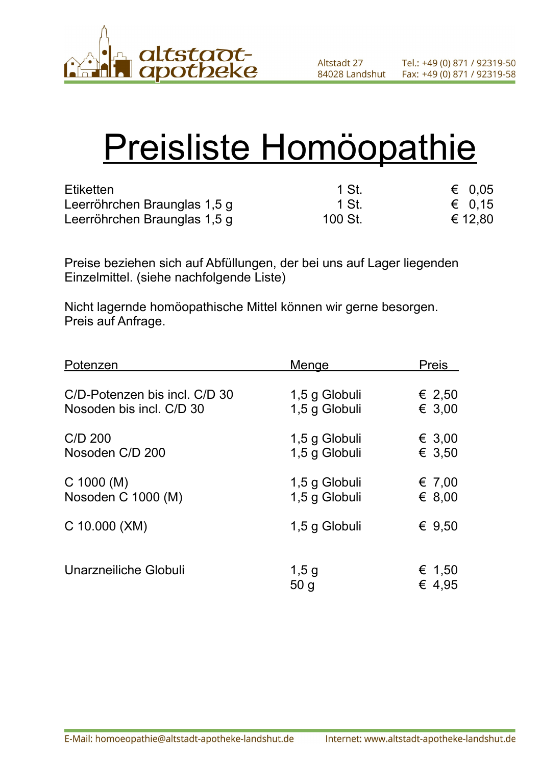

# Preisliste Homöopathie

| <b>Etiketten</b>             | 1 St.   | $\epsilon$ 0.05 |
|------------------------------|---------|-----------------|
| Leerröhrchen Braunglas 1,5 g | 1 St.   | € 0.15          |
| Leerröhrchen Braunglas 1,5 g | 100 St. | € 12,80         |

Preise beziehen sich auf Abfüllungen, der bei uns auf Lager liegenden Einzelmittel. (siehe nachfolgende Liste)

Nicht lagernde homöopathische Mittel können wir gerne besorgen. Preis auf Anfrage.

| Potenzen                      | <b>Menge</b>               | <b>Preis</b>     |
|-------------------------------|----------------------------|------------------|
| C/D-Potenzen bis incl. C/D 30 | 1,5 g Globuli              | € 2,50           |
| Nosoden bis incl. C/D 30      | 1,5 g Globuli              | € 3,00           |
| C/D 200                       | 1,5 g Globuli              | € 3,00           |
| Nosoden C/D 200               | 1,5 g Globuli              | € 3,50           |
| $C$ 1000 (M)                  | 1,5 g Globuli              | € 7,00           |
| Nosoden C 1000 (M)            | 1,5 g Globuli              | € 8,00           |
| C 10.000 (XM)                 | 1,5 g Globuli              | € $9,50$         |
| Unarzneiliche Globuli         | $1,5$ g<br>50 <sub>q</sub> | € 1,50<br>€ 4.95 |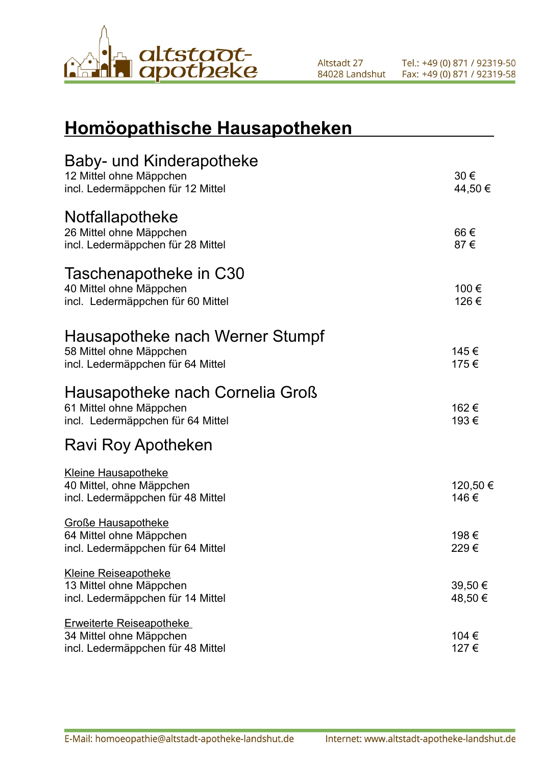

## **Homöopathische Hausapotheken**

| Baby- und Kinderapotheke<br>12 Mittel ohne Mäppchen<br>incl. Ledermäppchen für 12 Mittel        | 30€<br>44,50 €     |
|-------------------------------------------------------------------------------------------------|--------------------|
| Notfallapotheke<br>26 Mittel ohne Mäppchen<br>incl. Ledermäppchen für 28 Mittel                 | 66€<br>87€         |
| Taschenapotheke in C30<br>40 Mittel ohne Mäppchen<br>incl. Ledermäppchen für 60 Mittel          | 100 €<br>126€      |
| Hausapotheke nach Werner Stumpf<br>58 Mittel ohne Mäppchen<br>incl. Ledermäppchen für 64 Mittel | 145€<br>175€       |
| Hausapotheke nach Cornelia Groß<br>61 Mittel ohne Mäppchen<br>incl. Ledermäppchen für 64 Mittel | 162€<br>193€       |
| Ravi Roy Apotheken                                                                              |                    |
| <b>Kleine Hausapotheke</b><br>40 Mittel, ohne Mäppchen<br>incl. Ledermäppchen für 48 Mittel     | 120,50 €<br>146€   |
| <b>Große Hausapotheke</b><br>64 Mittel ohne Mäppchen<br>incl. Ledermäppchen für 64 Mittel       | 198€<br>229€       |
| <b>Kleine Reiseapotheke</b><br>13 Mittel ohne Mäppchen<br>incl. Ledermäppchen für 14 Mittel     | 39,50 €<br>48,50 € |
| <b>Erweiterte Reiseapotheke</b><br>34 Mittel ohne Mäppchen<br>incl. Ledermäppchen für 48 Mittel | 104 €<br>127€      |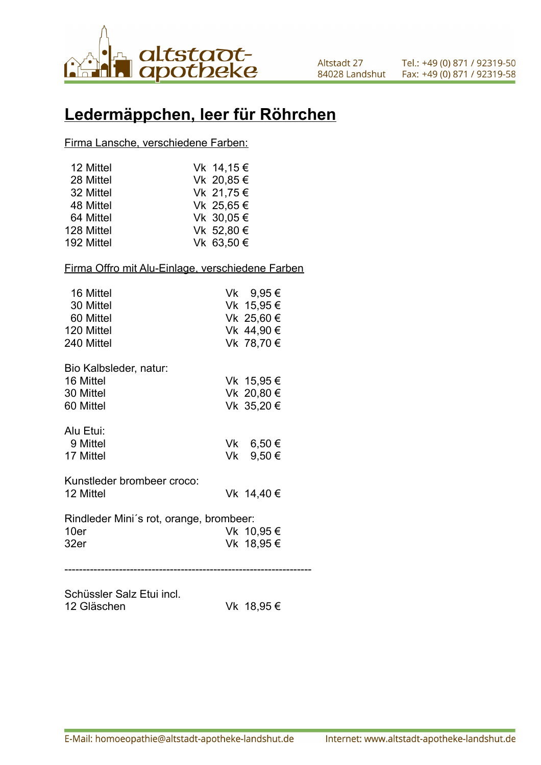

## **Ledermäppchen, leer für Röhrchen**

Firma Lansche, verschiedene Farben:

| 12 Mittel  | Vk 14,15 € |
|------------|------------|
| 28 Mittel  | Vk 20,85 € |
| 32 Mittel  | Vk 21,75 € |
| 48 Mittel  | Vk 25,65 € |
| 64 Mittel  | Vk 30,05 € |
| 128 Mittel | Vk 52,80 € |
| 192 Mittel | Vk 63,50 € |

### Firma Offro mit Alu-Einlage, verschiedene Farben

| 16 Mittel<br>30 Mittel<br>60 Mittel<br>120 Mittel<br>240 Mittel | Vk 9,95 €<br>Vk 15,95 €<br>Vk 25,60 €<br>Vk 44,90 €<br>Vk 78,70 € |  |
|-----------------------------------------------------------------|-------------------------------------------------------------------|--|
| Bio Kalbsleder, natur:<br>16 Mittel<br>30 Mittel<br>60 Mittel   | Vk 15,95 €<br>Vk 20,80 €<br>Vk 35,20 €                            |  |
| Alu Etui:<br>9 Mittel<br>17 Mittel                              | Vk 6,50 €<br>Vk 9,50 €                                            |  |
| Kunstleder brombeer croco:<br>12 Mittel                         | Vk 14,40 €                                                        |  |
| Rindleder Mini's rot, orange, brombeer:<br>10er<br>32er         | Vk 10,95 €<br>Vk 18,95 €                                          |  |
|                                                                 |                                                                   |  |

Schüssler Salz Etui incl. 12 Gläschen Vk 18,95 €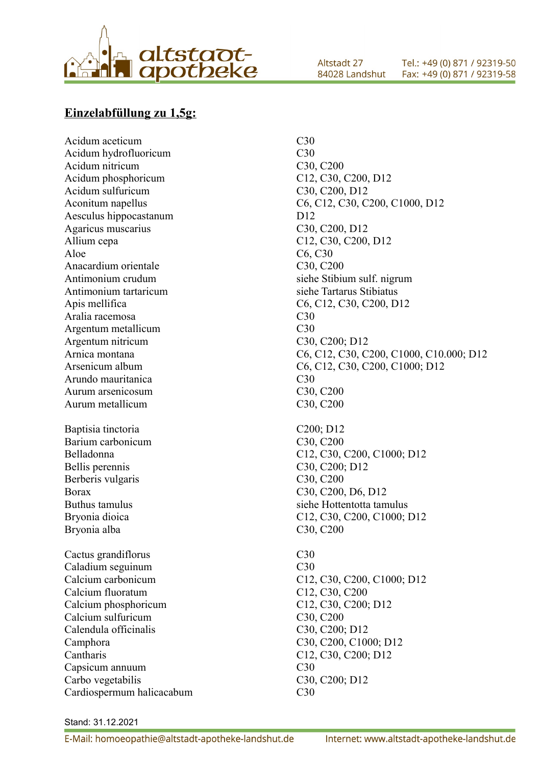

Acidum hydrofluoricum C30 Acidum nitricum C30, C200 Acidum phosphoricum C12, C30, C200, D12 Acidum sulfuricum C30, C200, D12 Aesculus hippocastanum D12 Agaricus muscarius C30, C200, D12 Allium cepa C12, C30, C200, D12 Aloe C6, C30 Anacardium orientale C30, C200 Antimonium crudum siehe Stibium sulf. nigrum Antimonium tartaricum siehe Tartarus Stibiatus Apis mellifica C6, C12, C30, C200, D12 Aralia racemosa C30 Argentum metallicum C30 Argentum nitricum C30, C200; D12 Arundo mauritanica C30 Aurum arsenicosum C30, C200 Aurum metallicum C30, C200 Baptisia tinctoria C200; D12 Barium carbonicum C30, C200 Bellis perennis C30, C200; D12 Berberis vulgaris C30, C200 Borax C30, C200, D6, D12 Buthus tamulus siehe Hottentotta tamulus Bryonia alba C30, C200 Cactus grandiflorus C30 Caladium seguinum C30 Calcium fluoratum C12, C30, C200 Calcium phosphoricum C12, C30, C200; D12 Calcium sulfuricum C30, C200 Calendula officinalis C30, C200; D12 Camphora C30, C200, C1000; D12 Cantharis C12, C30, C200; D12 Capsicum annuum C30 Carbo vegetabilis C30, C200; D12 Cardiospermum halicacabum C30

Acidum aceticum C30 Aconitum napellus C6, C12, C30, C200, C1000, D12 Arnica montana C6, C12, C30, C200, C1000, C10.000; D12 Arsenicum album C6, C12, C30, C200, C1000; D12 Belladonna C12, C30, C200, C1000; D12 Bryonia dioica C12, C30, C200, C1000; D12 Calcium carbonicum C12, C30, C200, C1000; D12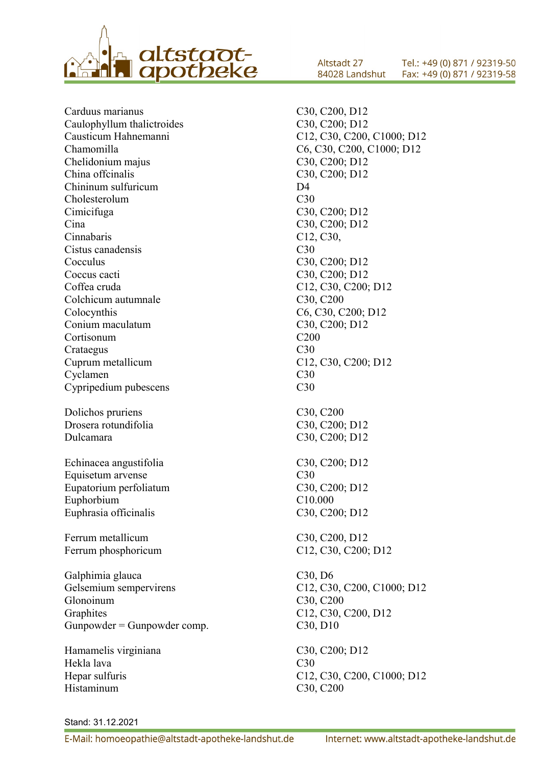

Carduus marianus C30, C200, D12 Caulophyllum thalictroides C30, C200; D12 Causticum Hahnemanni C12, C30, C200, C1000; D12 Chamomilla C6, C30, C200, C1000; D12 Chelidonium majus C30, C200; D12 China offcinalis C30, C200; D12 Chininum sulfuricum D4 Cholesterolum C30 Cimicifuga C30, C200; D12 Cina C30, C200; D12 Cinnabaris C12, C30, Cistus canadensis C<sub>30</sub> Cocculus C30, C200; D12 Coccus cacti C30, C200; D12 Coffea cruda C12, C30, C200; D12 Colchicum autumnale C30, C200 Colocynthis C6, C30, C200; D12 Conium maculatum C30, C200; D12 Cortisonum C200 Crataegus C30 Cuprum metallicum C12, C30, C200; D12 Cyclamen C30 Cypripedium pubescens C30 Dolichos pruriens C30, C200 Drosera rotundifolia C30, C200; D12 Dulcamara C30, C200; D12 Echinacea angustifolia C30, C200; D12 Equisetum arvense C30 Eupatorium perfoliatum C30, C200; D12 Euphorbium C10.000 Euphrasia officinalis C30, C200; D12 Ferrum metallicum C30, C200, D12 Ferrum phosphoricum C12, C30, C200; D12 Galphimia glauca C30, D6 Gelsemium sempervirens C12, C30, C200, C1000; D12 Glonoinum C30, C200 Graphites C12, C30, C200, D12 Gunpowder = Gunpowder comp. C30, D10 Hamamelis virginiana C30, C200; D12

Hekla lava C30 Histaminum C30, C200

Altstadt 27 Tel.: +49 (0) 871 / 92319-50 84028 Landshut Fax: +49 (0) 871 / 92319-58

Hepar sulfuris C12, C30, C200, C1000; D12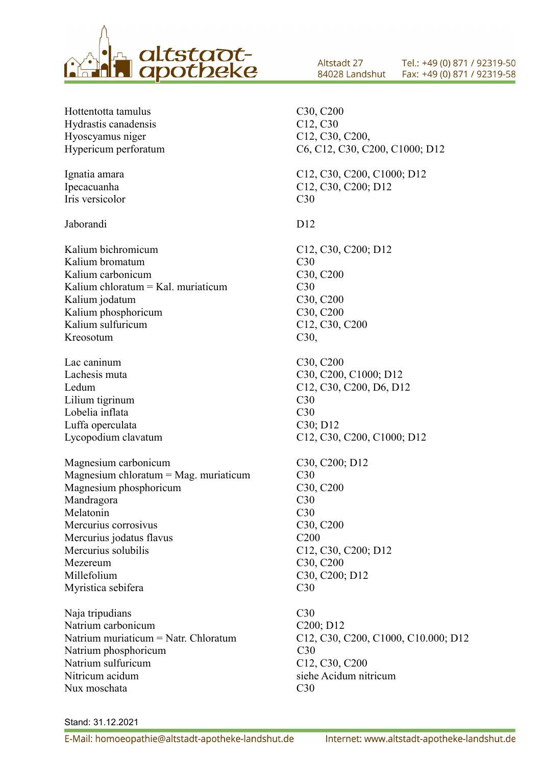

Hottentotta tamulus C30, C200 Hydrastis canadensis C12, C30 Hyoscyamus niger C12, C30, C200, Hypericum perforatum C6, C12, C30, C200, C1000; D12 Ignatia amara C12, C30, C200, C1000; D12 Ipecacuanha C12, C30, C200; D12 Iris versicolor C30 Jaborandi D12 Kalium bichromicum C12, C30, C200; D12 Kalium bromatum C30 Kalium carbonicum C30, C200 Kalium chloratum  $=$  Kal. muriaticum  $C30$ Kalium jodatum C30, C200 Kalium phosphoricum C30, C200 Kalium sulfuricum C12, C30, C200 Kreosotum C30, Lac caninum C30, C200 Lachesis muta C30, C200, C1000; D12 Ledum C12, C30, C200, D6, D12 Lilium tigrinum C30 Lobelia inflata C30 Luffa operculata C30; D12 Lycopodium clavatum C12, C30, C200, C1000; D12 Magnesium carbonicum C30, C200; D12 Magnesium chloratum = Mag. muriaticum C30 Magnesium phosphoricum C30, C200 Mandragora C30 Melatonin C30 Mercurius corrosivus C30, C200 Mercurius jodatus flavus C200 Mercurius solubilis C12, C30, C200; D12 Mezereum C30, C200 Millefolium C30, C200; D12 Myristica sebifera C30 Naja tripudians C30 Natrium carbonicum C200; D12 Natrium muriaticum = Natr. Chloratum C12, C30, C200, C1000, C10.000; D12 Natrium phosphoricum C30 Natrium sulfuricum C12, C30, C200 Nitricum acidum siehe Acidum nitricum Nux moschata C30

Altstadt 27

84028 Landshut

Tel.: +49 (0) 871 / 92319-50

Fax: +49 (0) 871 / 92319-58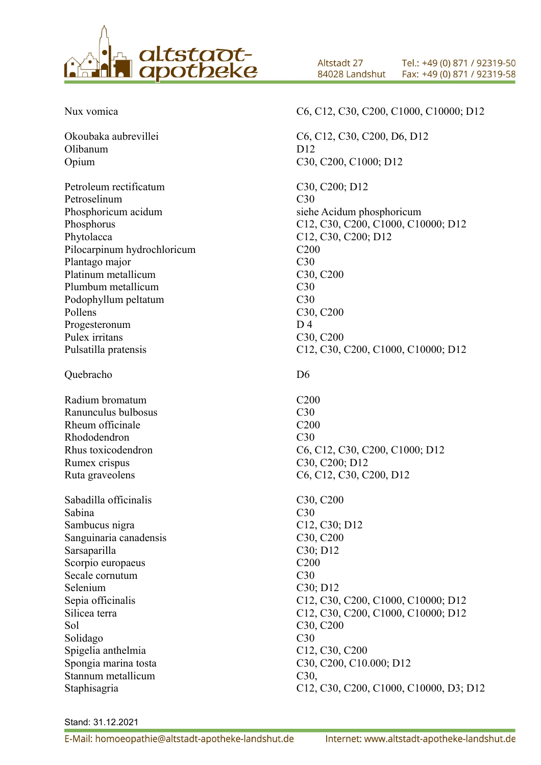

Okoubaka aubrevillei C6, C12, C30, C200, D6, D12 Olibanum D12

Petroleum rectificatum C30, C200; D12 Petroselinum C30 Phosphoricum acidum siehe Acidum phosphoricum Phytolacca C12, C30, C200; D12 Pilocarpinum hydrochloricum C200 Plantago major C30 Platinum metallicum C30, C200 Plumbum metallicum C30 Podophyllum peltatum C30 Pollens C30, C200 Progesteronum D 4 Pulex irritans C30, C200

Quebracho D6

Radium bromatum C200 Ranunculus bulbosus C30 Rheum officinale C<sub>200</sub> Rhododendron C30 Rumex crispus C30, C200; D12

Sabadilla officinalis C30, C200 Sabina C30 Sambucus nigra C12, C30; D12 Sanguinaria canadensis C30, C200 Sarsaparilla C30; D12 Scorpio europaeus C<sub>200</sub> Secale cornutum C30 Selenium C30; D12 Sol C30, C200 Solidago C30 Spigelia anthelmia C12, C30, C200 Stannum metallicum C30,

Altstadt 27 Tel.: +49 (0) 871 / 92319-50 84028 Landshut Fax: +49 (0) 871 / 92319-58

Nux vomica<br>
C6, C12, C30, C200, C1000, C10000; D12

Opium C30, C200, C1000; D12 Phosphorus C12, C30, C200, C1000, C10000; D12 Pulsatilla pratensis C12, C30, C200, C1000, C10000; D12 Rhus toxicodendron C6, C12, C30, C200, C1000; D12 Ruta graveolens C6, C12, C30, C200, D12 Sepia officinalis C12, C30, C200, C1000, C10000; D12 Silicea terra C12, C30, C200, C1000, C10000; D12 Spongia marina tosta C30, C200, C10.000; D12 Staphisagria C12, C30, C200, C1000, C10000, D3; D12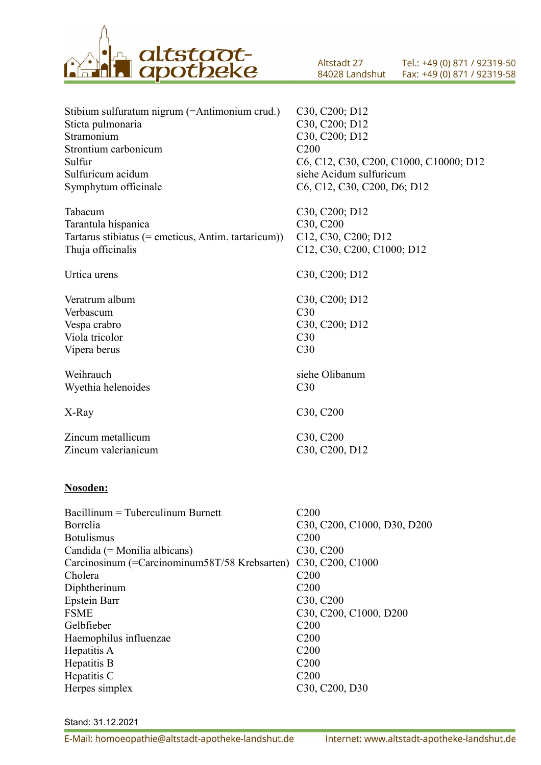

Altstadt 27 Tel.: +49 (0) 871 / 92319-50 84028 Landshut Fax: +49 (0) 871 / 92319-58

| Stibium sulfuratum nigrum (=Antimonium crud.)       | C <sub>30</sub> , C <sub>200</sub> ; D <sub>12</sub> |
|-----------------------------------------------------|------------------------------------------------------|
| Sticta pulmonaria                                   | C30, C200; D12                                       |
| Stramonium                                          | C30, C200; D12                                       |
| Strontium carbonicum                                | C <sub>200</sub>                                     |
| Sulfur                                              | C6, C12, C30, C200, C1000, C10000; D12               |
| Sulfuricum acidum                                   | siehe Acidum sulfuricum                              |
| Symphytum officinale                                | C6, C12, C30, C200, D6; D12                          |
| Tabacum                                             | C30, C200; D12                                       |
| Tarantula hispanica                                 | C30, C200                                            |
| Tartarus stibiatus (= emeticus, Antim. tartaricum)) | C12, C30, C200; D12                                  |
| Thuja officinalis                                   | C12, C30, C200, C1000; D12                           |
| Urtica urens                                        | C30, C200; D12                                       |
| Veratrum album                                      | C30, C200; D12                                       |
| Verbascum                                           | C <sub>30</sub>                                      |
| Vespa crabro                                        | C <sub>30</sub> , C <sub>200</sub> ; D <sub>12</sub> |
| Viola tricolor                                      | C <sub>30</sub>                                      |
| Vipera berus                                        | C30                                                  |
| Weihrauch                                           | siehe Olibanum                                       |
| Wyethia helenoides                                  | C <sub>30</sub>                                      |
| X-Ray                                               | C30, C200                                            |
| Zincum metallicum                                   | C <sub>30</sub> , C <sub>200</sub>                   |
| Zincum valerianicum                                 | C30, C200, D12                                       |
|                                                     |                                                      |

#### **Nosoden:**

| $\alpha$ Bacillinum = Tuberculinum Burnett    | C200                                                                      |
|-----------------------------------------------|---------------------------------------------------------------------------|
| Borrelia                                      | C30, C200, C1000, D30, D200                                               |
| <b>Botulismus</b>                             | C <sub>200</sub>                                                          |
| Candida (= Monilia albicans)                  | C <sub>30</sub> , C <sub>200</sub>                                        |
| Carcinosinum (=Carcinominum58T/58 Krebsarten) | C <sub>30</sub> , C <sub>200</sub> , C <sub>1000</sub>                    |
| Cholera                                       | C <sub>200</sub>                                                          |
| Diphtherinum                                  | C <sub>200</sub>                                                          |
| <b>Epstein Barr</b>                           | C <sub>30</sub> , C <sub>200</sub>                                        |
| <b>FSME</b>                                   | C <sub>30</sub> , C <sub>200</sub> , C <sub>1000</sub> , D <sub>200</sub> |
| Gelbfieber                                    | C <sub>200</sub>                                                          |
| Haemophilus influenzae                        | C <sub>200</sub>                                                          |
| Hepatitis A                                   | C <sub>200</sub>                                                          |
| Hepatitis B                                   | C <sub>200</sub>                                                          |
| Hepatitis C                                   | C <sub>200</sub>                                                          |
| Herpes simplex                                | C <sub>30</sub> , C <sub>200</sub> , D <sub>30</sub>                      |